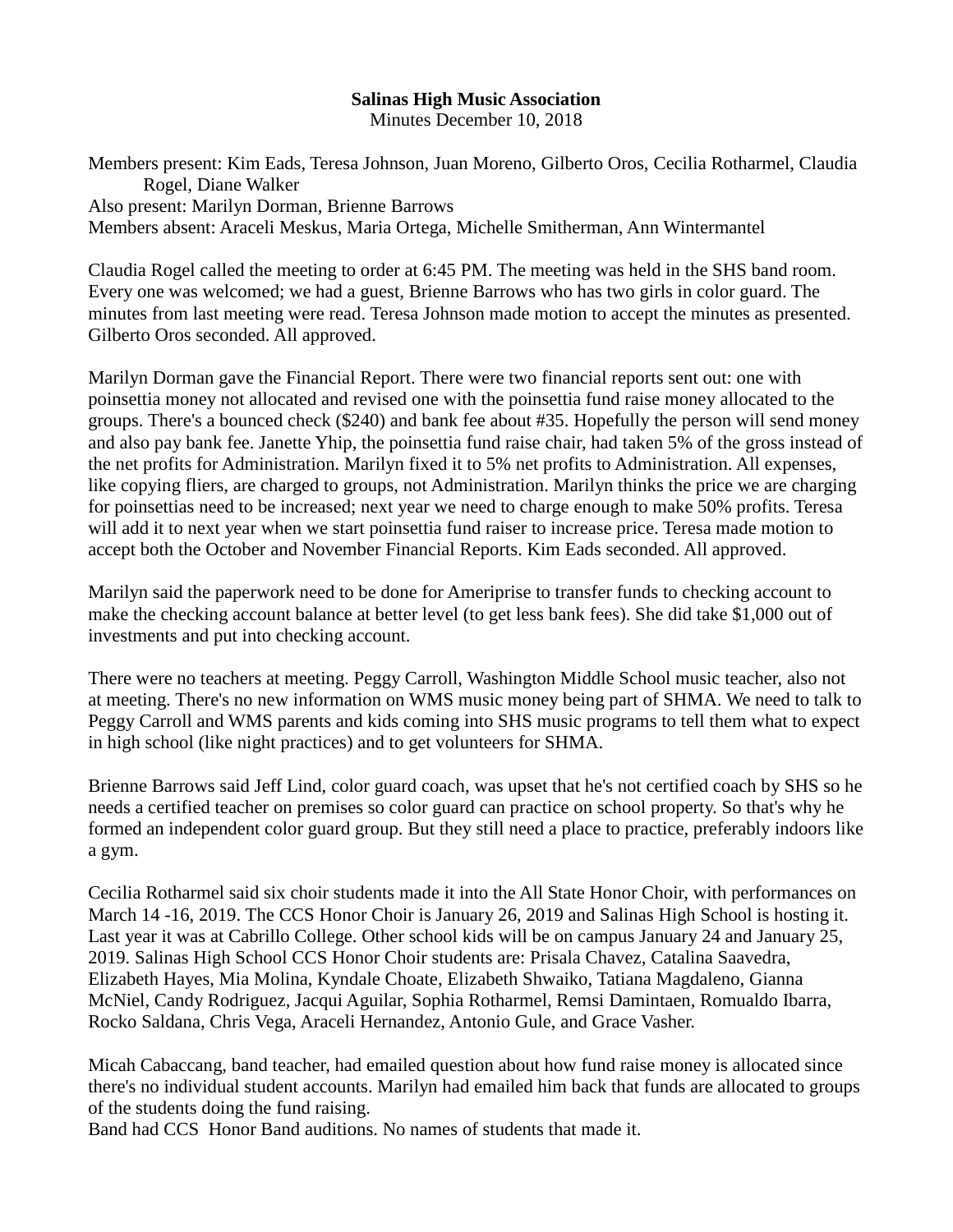## **Salinas High Music Association**

Minutes December 10, 2018

Members present: Kim Eads, Teresa Johnson, Juan Moreno, Gilberto Oros, Cecilia Rotharmel, Claudia Rogel, Diane Walker Also present: Marilyn Dorman, Brienne Barrows Members absent: Araceli Meskus, Maria Ortega, Michelle Smitherman, Ann Wintermantel

Claudia Rogel called the meeting to order at 6:45 PM. The meeting was held in the SHS band room. Every one was welcomed; we had a guest, Brienne Barrows who has two girls in color guard. The minutes from last meeting were read. Teresa Johnson made motion to accept the minutes as presented. Gilberto Oros seconded. All approved.

Marilyn Dorman gave the Financial Report. There were two financial reports sent out: one with poinsettia money not allocated and revised one with the poinsettia fund raise money allocated to the groups. There's a bounced check (\$240) and bank fee about #35. Hopefully the person will send money and also pay bank fee. Janette Yhip, the poinsettia fund raise chair, had taken 5% of the gross instead of the net profits for Administration. Marilyn fixed it to 5% net profits to Administration. All expenses, like copying fliers, are charged to groups, not Administration. Marilyn thinks the price we are charging for poinsettias need to be increased; next year we need to charge enough to make 50% profits. Teresa will add it to next year when we start poinsettia fund raiser to increase price. Teresa made motion to accept both the October and November Financial Reports. Kim Eads seconded. All approved.

Marilyn said the paperwork need to be done for Ameriprise to transfer funds to checking account to make the checking account balance at better level (to get less bank fees). She did take \$1,000 out of investments and put into checking account.

There were no teachers at meeting. Peggy Carroll, Washington Middle School music teacher, also not at meeting. There's no new information on WMS music money being part of SHMA. We need to talk to Peggy Carroll and WMS parents and kids coming into SHS music programs to tell them what to expect in high school (like night practices) and to get volunteers for SHMA.

Brienne Barrows said Jeff Lind, color guard coach, was upset that he's not certified coach by SHS so he needs a certified teacher on premises so color guard can practice on school property. So that's why he formed an independent color guard group. But they still need a place to practice, preferably indoors like a gym.

Cecilia Rotharmel said six choir students made it into the All State Honor Choir, with performances on March 14 -16, 2019. The CCS Honor Choir is January 26, 2019 and Salinas High School is hosting it. Last year it was at Cabrillo College. Other school kids will be on campus January 24 and January 25, 2019. Salinas High School CCS Honor Choir students are: Prisala Chavez, Catalina Saavedra, Elizabeth Hayes, Mia Molina, Kyndale Choate, Elizabeth Shwaiko, Tatiana Magdaleno, Gianna McNiel, Candy Rodriguez, Jacqui Aguilar, Sophia Rotharmel, Remsi Damintaen, Romualdo Ibarra, Rocko Saldana, Chris Vega, Araceli Hernandez, Antonio Gule, and Grace Vasher.

Micah Cabaccang, band teacher, had emailed question about how fund raise money is allocated since there's no individual student accounts. Marilyn had emailed him back that funds are allocated to groups of the students doing the fund raising.

Band had CCS Honor Band auditions. No names of students that made it.